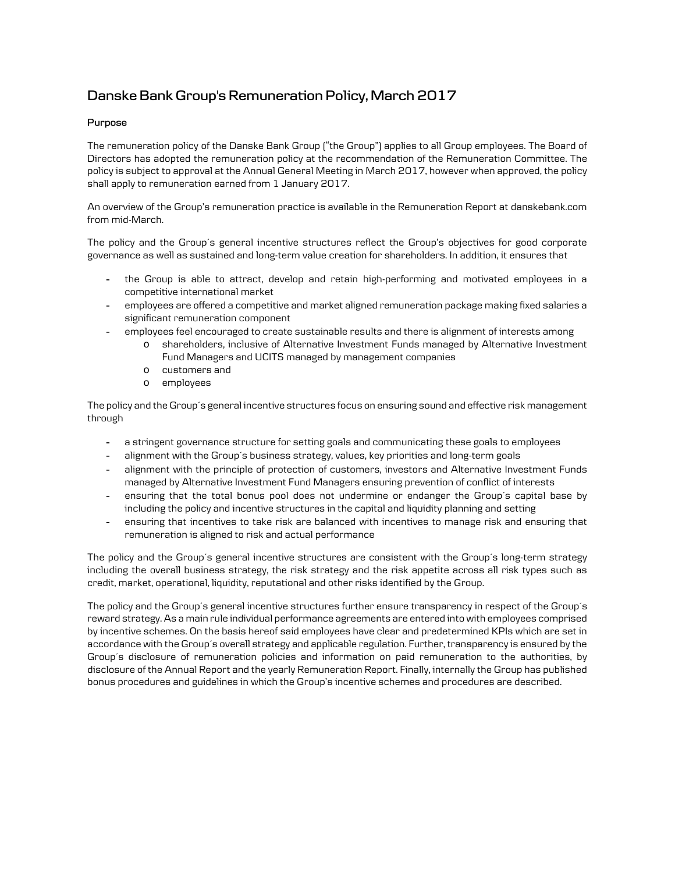# **Danske Bank Group's Remuneration Policy, March 2017**

# **Purpose**

The remuneration policy of the Danske Bank Group ("the Group") applies to all Group employees. The Board of Directors has adopted the remuneration policy at the recommendation of the Remuneration Committee. The policy is subject to approval at the Annual General Meeting in March 2017, however when approved, the policy shall apply to remuneration earned from 1 January 2017.

An overview of the Group's remuneration practice is available in the Remuneration Report at danskebank.com from mid-March.

The policy and the Group's general incentive structures reflect the Group's objectives for good corporate governance as well as sustained and long-term value creation for shareholders. In addition, it ensures that

- the Group is able to attract, develop and retain high-performing and motivated employees in a competitive international market
- employees are offered a competitive and market aligned remuneration package making fixed salaries a significant remuneration component
- employees feel encouraged to create sustainable results and there is alignment of interests among
	- o shareholders, inclusive of Alternative Investment Funds managed by Alternative Investment Fund Managers and UCITS managed by management companies
	- o customers and
	- o employees

The policy and the Group´s general incentive structures focus on ensuring sound and effective risk management through

- a stringent governance structure for setting goals and communicating these goals to employees
- alignment with the Group´s business strategy, values, key priorities and long-term goals
- alignment with the principle of protection of customers, investors and Alternative Investment Funds managed by Alternative Investment Fund Managers ensuring prevention of conflict of interests
- ensuring that the total bonus pool does not undermine or endanger the Group´s capital base by including the policy and incentive structures in the capital and liquidity planning and setting
- ensuring that incentives to take risk are balanced with incentives to manage risk and ensuring that remuneration is aligned to risk and actual performance

The policy and the Group´s general incentive structures are consistent with the Group´s long-term strategy including the overall business strategy, the risk strategy and the risk appetite across all risk types such as credit, market, operational, liquidity, reputational and other risks identified by the Group.

The policy and the Group´s general incentive structures further ensure transparency in respect of the Group´s reward strategy. As a main rule individual performance agreements are entered into with employees comprised by incentive schemes. On the basis hereof said employees have clear and predetermined KPIs which are set in accordance with the Group´s overall strategy and applicable regulation. Further, transparency is ensured by the Group´s disclosure of remuneration policies and information on paid remuneration to the authorities, by disclosure of the Annual Report and the yearly Remuneration Report. Finally, internally the Group has published bonus procedures and guidelines in which the Group's incentive schemes and procedures are described.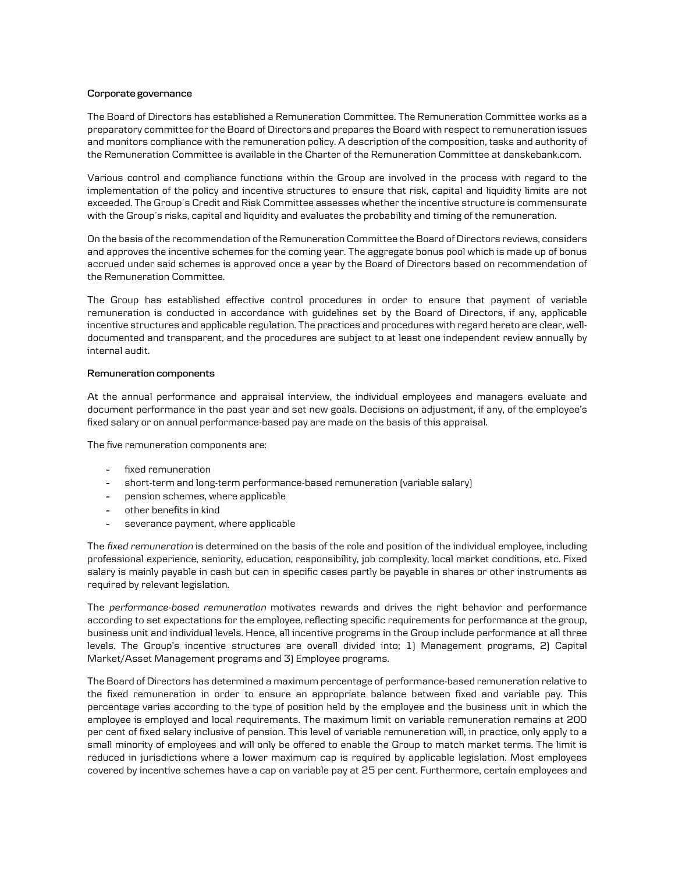# **Corporate governance**

The Board of Directors has established a Remuneration Committee. The Remuneration Committee works as a preparatory committee for the Board of Directors and prepares the Board with respect to remuneration issues and monitors compliance with the remuneration policy. A description of the composition, tasks and authority of the Remuneration Committee is available in the Charter of the Remuneration Committee at danskebank.com.

Various control and compliance functions within the Group are involved in the process with regard to the implementation of the policy and incentive structures to ensure that risk, capital and liquidity limits are not exceeded. The Group´s Credit and Risk Committee assesses whether the incentive structure is commensurate with the Group´s risks, capital and liquidity and evaluates the probability and timing of the remuneration.

On the basis of the recommendation of the Remuneration Committee the Board of Directors reviews, considers and approves the incentive schemes for the coming year. The aggregate bonus pool which is made up of bonus accrued under said schemes is approved once a year by the Board of Directors based on recommendation of the Remuneration Committee.

The Group has established effective control procedures in order to ensure that payment of variable remuneration is conducted in accordance with guidelines set by the Board of Directors, if any, applicable incentive structures and applicable regulation. The practices and procedures with regard hereto are clear, welldocumented and transparent, and the procedures are subject to at least one independent review annually by internal audit.

# **Remuneration components**

At the annual performance and appraisal interview, the individual employees and managers evaluate and document performance in the past year and set new goals. Decisions on adjustment, if any, of the employee's fixed salary or on annual performance-based pay are made on the basis of this appraisal.

The five remuneration components are:

- fixed remuneration
- short-term and long-term performance-based remuneration (variable salary)
- pension schemes, where applicable
- other benefits in kind
- severance payment, where applicable

The *fixed remuneration* is determined on the basis of the role and position of the individual employee, including professional experience, seniority, education, responsibility, job complexity, local market conditions, etc. Fixed salary is mainly payable in cash but can in specific cases partly be payable in shares or other instruments as required by relevant legislation.

The *performance-based remuneration* motivates rewards and drives the right behavior and performance according to set expectations for the employee, reflecting specific requirements for performance at the group, business unit and individual levels. Hence, all incentive programs in the Group include performance at all three levels. The Group's incentive structures are overall divided into; 1) Management programs, 2) Capital Market/Asset Management programs and 3) Employee programs.

The Board of Directors has determined a maximum percentage of performance-based remuneration relative to the fixed remuneration in order to ensure an appropriate balance between fixed and variable pay. This percentage varies according to the type of position held by the employee and the business unit in which the employee is employed and local requirements. The maximum limit on variable remuneration remains at 200 per cent of fixed salary inclusive of pension. This level of variable remuneration will, in practice, only apply to a small minority of employees and will only be offered to enable the Group to match market terms. The limit is reduced in jurisdictions where a lower maximum cap is required by applicable legislation. Most employees covered by incentive schemes have a cap on variable pay at 25 per cent. Furthermore, certain employees and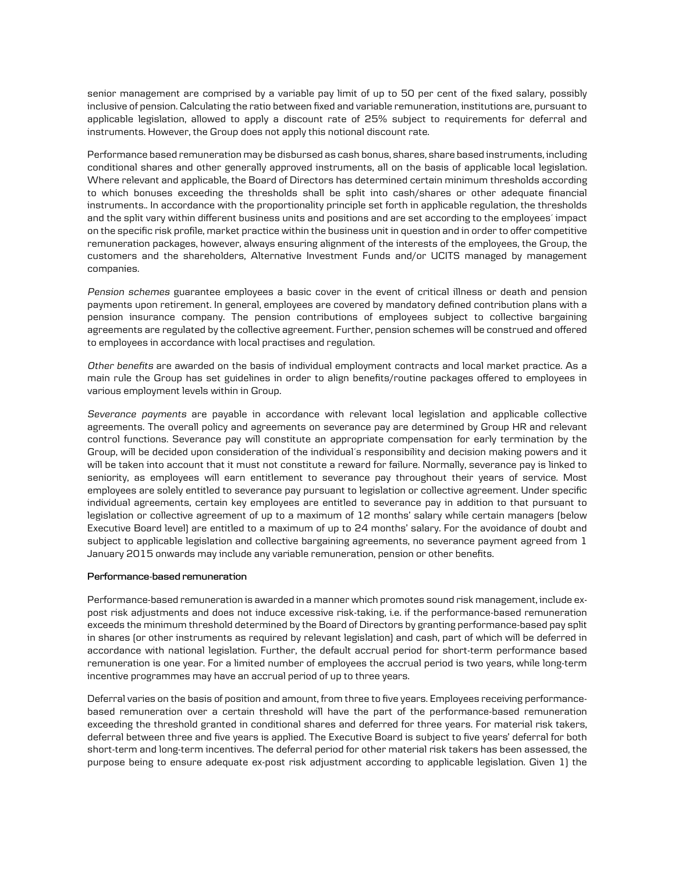senior management are comprised by a variable pay limit of up to 50 per cent of the fixed salary, possibly inclusive of pension. Calculating the ratio between fixed and variable remuneration, institutions are, pursuant to applicable legislation, allowed to apply a discount rate of 25% subject to requirements for deferral and instruments. However, the Group does not apply this notional discount rate.

Performance based remuneration may be disbursed as cash bonus, shares, share based instruments, including conditional shares and other generally approved instruments, all on the basis of applicable local legislation. Where relevant and applicable, the Board of Directors has determined certain minimum thresholds according to which bonuses exceeding the thresholds shall be split into cash/shares or other adequate financial instruments.. In accordance with the proportionality principle set forth in applicable regulation, the thresholds and the split vary within different business units and positions and are set according to the employees´ impact on the specific risk profile, market practice within the business unit in question and in order to offer competitive remuneration packages, however, always ensuring alignment of the interests of the employees, the Group, the customers and the shareholders, Alternative Investment Funds and/or UCITS managed by management companies.

*Pension schemes* guarantee employees a basic cover in the event of critical illness or death and pension payments upon retirement. In general, employees are covered by mandatory defined contribution plans with a pension insurance company. The pension contributions of employees subject to collective bargaining agreements are regulated by the collective agreement. Further, pension schemes will be construed and offered to employees in accordance with local practises and regulation.

*Other benefits* are awarded on the basis of individual employment contracts and local market practice. As a main rule the Group has set guidelines in order to align benefits/routine packages offered to employees in various employment levels within in Group.

*Severance payments* are payable in accordance with relevant local legislation and applicable collective agreements. The overall policy and agreements on severance pay are determined by Group HR and relevant control functions. Severance pay will constitute an appropriate compensation for early termination by the Group, will be decided upon consideration of the individual´s responsibility and decision making powers and it will be taken into account that it must not constitute a reward for failure. Normally, severance pay is linked to seniority, as employees will earn entitlement to severance pay throughout their years of service. Most employees are solely entitled to severance pay pursuant to legislation or collective agreement. Under specific individual agreements, certain key employees are entitled to severance pay in addition to that pursuant to legislation or collective agreement of up to a maximum of 12 months' salary while certain managers (below Executive Board level) are entitled to a maximum of up to 24 months' salary. For the avoidance of doubt and subject to applicable legislation and collective bargaining agreements, no severance payment agreed from 1 January 2015 onwards may include any variable remuneration, pension or other benefits.

#### **Performance-based remuneration**

Performance-based remuneration is awarded in a manner which promotes sound risk management, include expost risk adjustments and does not induce excessive risk-taking, i.e. if the performance-based remuneration exceeds the minimum threshold determined by the Board of Directors by granting performance-based pay split in shares (or other instruments as required by relevant legislation) and cash, part of which will be deferred in accordance with national legislation. Further, the default accrual period for short-term performance based remuneration is one year. For a limited number of employees the accrual period is two years, while long-term incentive programmes may have an accrual period of up to three years.

Deferral varies on the basis of position and amount, from three to five years. Employees receiving performancebased remuneration over a certain threshold will have the part of the performance-based remuneration exceeding the threshold granted in conditional shares and deferred for three years. For material risk takers, deferral between three and five years is applied. The Executive Board is subject to five years' deferral for both short-term and long-term incentives. The deferral period for other material risk takers has been assessed, the purpose being to ensure adequate ex-post risk adjustment according to applicable legislation. Given 1) the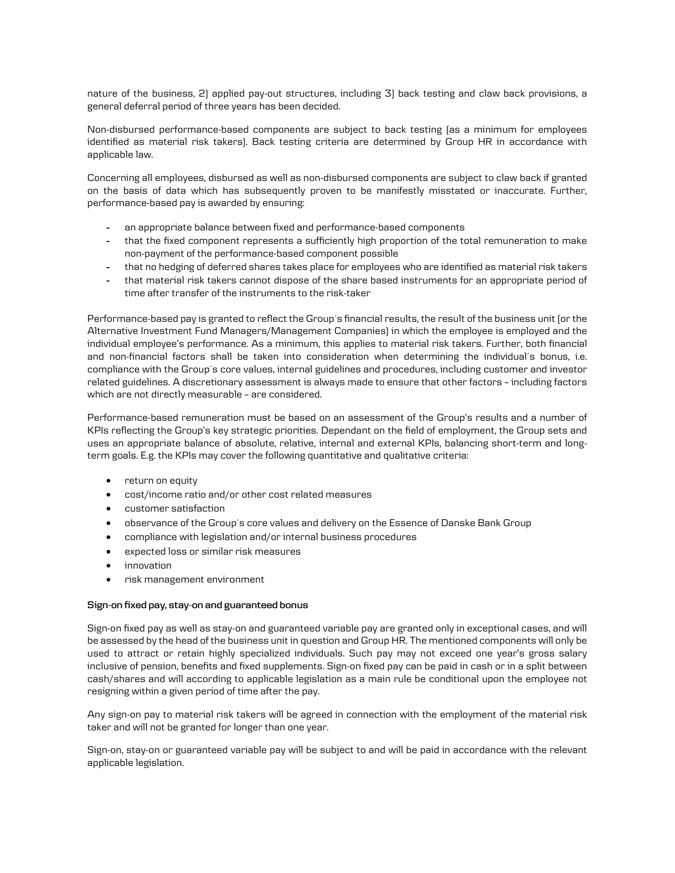nature of the business, 2) applied pay-out structures, including 3) back testing and claw back provisions, a general deferral period of three years has been decided.

Non-disbursed performance-based components are subject to back testing (as a minimum for employees identified as material risk takers). Back testing criteria are determined by Group HR in accordance with applicable law.

Concerning all employees, disbursed as well as non-disbursed components are subject to claw back if granted on the basis of data which has subsequently proven to be manifestly misstated or inaccurate. Further, performance-based pay is awarded by ensuring:

- an appropriate balance between fixed and performance-based components
- that the fixed component represents a sufficiently high proportion of the total remuneration to make non-payment of the performance-based component possible
- that no hedging of deferred shares takes place for employees who are identified as material risk takers
- that material risk takers cannot dispose of the share based instruments for an appropriate period of time after transfer of the instruments to the risk-taker

Performance-based pay is granted to reflect the Group's financial results, the result of the business unit (or the Alternative Investment Fund Managers/Management Companies) in which the employee is employed and the individual employee's performance. As a minimum, this applies to material risk takers. Further, both financial and non-financial factors shall be taken into consideration when determining the individual´s bonus, i.e. compliance with the Group´s core values, internal guidelines and procedures, including customer and investor related guidelines. A discretionary assessment is always made to ensure that other factors - including factors which are not directly measurable - are considered.

Performance-based remuneration must be based on an assessment of the Group's results and a number of KPIs reflecting the Group's key strategic priorities. Dependant on the field of employment, the Group sets and uses an appropriate balance of absolute, relative, internal and external KPIs, balancing short-term and longterm goals. E.g. the KPIs may cover the following quantitative and qualitative criteria:

- return on equity
- cost/income ratio and/or other cost related measures
- customer satisfaction
- observance of the Group´s core values and delivery on the Essence of Danske Bank Group
- compliance with legislation and/or internal business procedures
- expected loss or similar risk measures
- innovation
- risk management environment

# **Sign-on fixed pay, stay-on and guaranteed bonus**

Sign-on fixed pay as well as stay-on and guaranteed variable pay are granted only in exceptional cases, and will be assessed by the head of the business unit in question and Group HR. The mentioned components will only be used to attract or retain highly specialized individuals. Such pay may not exceed one year's gross salary inclusive of pension, benefits and fixed supplements. Sign-on fixed pay can be paid in cash or in a split between cash/shares and will according to applicable legislation as a main rule be conditional upon the employee not resigning within a given period of time after the pay.

Any sign-on pay to material risk takers will be agreed in connection with the employment of the material risk taker and will not be granted for longer than one year.

Sign-on, stay-on or guaranteed variable pay will be subject to and will be paid in accordance with the relevant applicable legislation.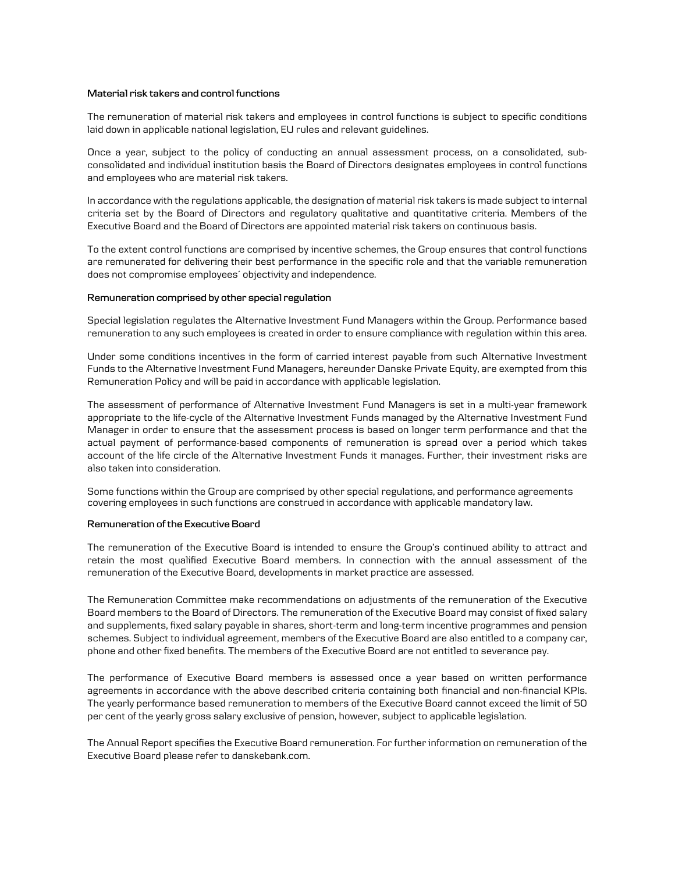#### **Material risk takers and control functions**

The remuneration of material risk takers and employees in control functions is subject to specific conditions laid down in applicable national legislation, EU rules and relevant guidelines.

Once a year, subject to the policy of conducting an annual assessment process, on a consolidated, subconsolidated and individual institution basis the Board of Directors designates employees in control functions and employees who are material risk takers.

In accordance with the regulations applicable, the designation of material risk takers is made subject to internal criteria set by the Board of Directors and regulatory qualitative and quantitative criteria. Members of the Executive Board and the Board of Directors are appointed material risk takers on continuous basis.

To the extent control functions are comprised by incentive schemes, the Group ensures that control functions are remunerated for delivering their best performance in the specific role and that the variable remuneration does not compromise employees´ objectivity and independence.

# **Remuneration comprised by other special regulation**

Special legislation regulates the Alternative Investment Fund Managers within the Group. Performance based remuneration to any such employees is created in order to ensure compliance with regulation within this area.

Under some conditions incentives in the form of carried interest payable from such Alternative Investment Funds to the Alternative Investment Fund Managers, hereunder Danske Private Equity, are exempted from this Remuneration Policy and will be paid in accordance with applicable legislation.

The assessment of performance of Alternative Investment Fund Managers is set in a multi-year framework appropriate to the life-cycle of the Alternative Investment Funds managed by the Alternative Investment Fund Manager in order to ensure that the assessment process is based on longer term performance and that the actual payment of performance-based components of remuneration is spread over a period which takes account of the life circle of the Alternative Investment Funds it manages. Further, their investment risks are also taken into consideration.

Some functions within the Group are comprised by other special regulations, and performance agreements covering employees in such functions are construed in accordance with applicable mandatory law.

#### **Remuneration of the Executive Board**

The remuneration of the Executive Board is intended to ensure the Group's continued ability to attract and retain the most qualified Executive Board members. In connection with the annual assessment of the remuneration of the Executive Board, developments in market practice are assessed.

The Remuneration Committee make recommendations on adjustments of the remuneration of the Executive Board members to the Board of Directors. The remuneration of the Executive Board may consist of fixed salary and supplements, fixed salary payable in shares, short-term and long-term incentive programmes and pension schemes. Subject to individual agreement, members of the Executive Board are also entitled to a company car, phone and other fixed benefits. The members of the Executive Board are not entitled to severance pay.

The performance of Executive Board members is assessed once a year based on written performance agreements in accordance with the above described criteria containing both financial and non-financial KPIs. The yearly performance based remuneration to members of the Executive Board cannot exceed the limit of 50 per cent of the yearly gross salary exclusive of pension, however, subject to applicable legislation.

The Annual Report specifies the Executive Board remuneration. For further information on remuneration of the Executive Board please refer to danskebank.com.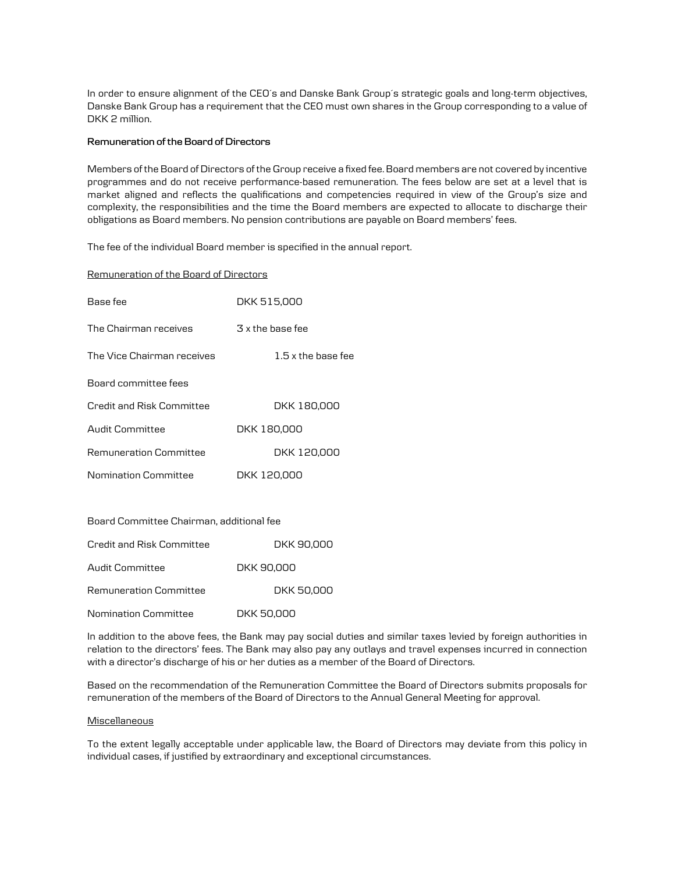In order to ensure alignment of the CEO´s and Danske Bank Group´s strategic goals and long-term objectives, Danske Bank Group has a requirement that the CEO must own shares in the Group corresponding to a value of DKK 2 million.

# **Remuneration of the Board of Directors**

Members of the Board of Directors of the Group receive a fixed fee. Board members are not covered by incentive programmes and do not receive performance-based remuneration. The fees below are set at a level that is market aligned and reflects the qualifications and competencies required in view of the Group's size and complexity, the responsibilities and the time the Board members are expected to allocate to discharge their obligations as Board members. No pension contributions are payable on Board members' fees.

The fee of the individual Board member is specified in the annual report.

# Remuneration of the Board of Directors

| Base fee                   | DKK 515,000          |
|----------------------------|----------------------|
| The Chairman receives      | 3 x the base fee     |
| The Vice Chairman receives | $1.5$ x the base fee |
| Board committee fees       |                      |
| Credit and Risk Committee  | DKK 180,000          |
| Audit Committee            | DKK 180,000          |
| Remuneration Committee     | DKK 120,000          |
| Nomination Committee       | DKK 120.000          |

Board Committee Chairman, additional fee

| Credit and Risk Committee   | DKK 90.000 |
|-----------------------------|------------|
| Audit Committee             | DKK 90,000 |
| Remuneration Committee      | DKK 50,000 |
| <b>Nomination Committee</b> | DKK 50.000 |

In addition to the above fees, the Bank may pay social duties and similar taxes levied by foreign authorities in relation to the directors' fees. The Bank may also pay any outlays and travel expenses incurred in connection with a director's discharge of his or her duties as a member of the Board of Directors.

Based on the recommendation of the Remuneration Committee the Board of Directors submits proposals for remuneration of the members of the Board of Directors to the Annual General Meeting for approval.

# **Miscellaneous**

To the extent legally acceptable under applicable law, the Board of Directors may deviate from this policy in individual cases, if justified by extraordinary and exceptional circumstances.